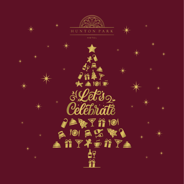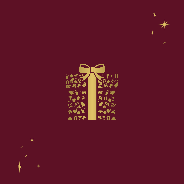



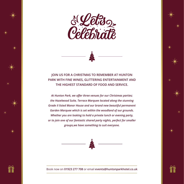



### **JOIN US FOR A CHRISTMAS TO REMEMBER AT HUNTON PARK WITH FINE WINES, GLITTERING ENTERTAINMENT AND THE HIGHEST STANDARD OF FOOD AND SERVICE.**

*At Hunton Park, we offer three venues for our Christmas parties; the Hazelwood Suite, Terrace Marquee located along the stunning Grade II listed Manor House and our brand new beautiful permanent Garden Marquee which is set within the woodland of our grounds. Whether you are looking to hold a private lunch or evening party, or to join one of our fantastic shared party nights, perfect for smaller groups,we have something to suit everyone.*

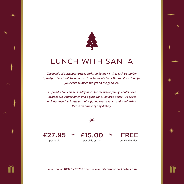

# LUNCH WITH SANTA

*The magic of Christmas arrives early, on Sunday 11th & 18th December 1pm-3pm. Lunch will be served at 1pm Santa will be at Hunton Park Hotel for your child to meet and get on the good list.* 

*A splendid two course Sunday lunch for the whole family. Adults price includes two course lunch and a glass wine. Children under 12's prices includes meeting Santa, a small gift, two course lunch and a soft drink. Please do advise of any dietary.* 



per adult

## **£27.95 £15.00**

 $\ast$ 

per child (3-12)

**FREE** per child under 2

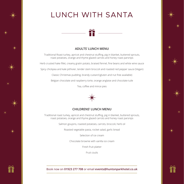# LUNCH WITH SANTA

### **ADULTS' LUNCH MENU**

Traditional Roast turkey, apricot and chestnut stuffing, pig in blanket, buttered sprouts, roast potatoes, orange and thyme glazed carrots and honey roast parsnips

Herb crusted hake fillet, creamy gratin potato, braised fennel, fine beans and white wine sauce

Spicy chickpea and kale pithivier, tender stem broccoli and roasted red pepper sauce (Vegan)

Classic Christmas pudding, brandy custard (gluten and nut free available)

Belgian chocolate and raspberry torte, orange anglaise and chocolate tuile

Tea, coffee and mince pies



#### **CHILDRENS' LUNCH MENU**

Traditional roast turkey, apricot and chestnut stuffing, pig in blanket, buttered sprouts, roast potatoes, orange and thyme glazed carrots and honey roast parsnips

Salmon goujons, roasted potatoes, carrots, broccoli, herb oil

Roasted vegetable pasta, rocket salad, garlic bread

Selection of ice cream

Chocolate brownie with vanilla ice cream

Fresh fruit platter

Fruit coulis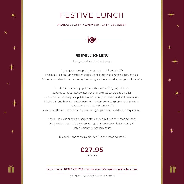# FESTIVE LUNCH

#### AVAILABLE 28TH NOVEMBER - 24TH DECEMBER

 $\blacksquare$ 

#### **FESTIVE LUNCH MENU**

Freshly baked Bread roll and butter

Spiced parsnip soup, crispy parsnips and chestnuts (VE) Ham hock, pea, and grain mustard terrine, spiced fruit chutney and sourdough toast Salmon and crab with dressed leaves, beetroot gravadlax, crab cake, mango and lime salsa

Traditional roast turkey apricot and chestnut stuffing, pig in blanket, buttered sprouts, roast potatoes, and honey roast carrots and parsnips Pan roast fillet of Hake gratin potato, braised fennel, fine beans, and white wine sauce Mushroom, brie, hazelnut, and cranberry wellington, buttered sprouts, roast potatoes, honey roasted carrots and parsnips (V) Roasted cauliflower risotto, toasted almonds, vegan parmesan, and dressed roquette (VE)

Classic Christmas pudding, brandy custard (gluten, nut free and vegan available) Belgian chocolate and orange tart, orange anglaise and vanilla ice cream (VE) Glazed lemon tart, raspberry sauce

Tea, coffee, and mince pies (gluten free and vegan available)



Book now on **01923 277 708** or email **events@huntonparkhotel.co.uk**

(V = Vegetarian, VE = Vegan, GF = Gluten Free)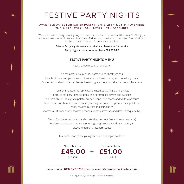# FESTIVE PARTY NIGHTS

#### AVAILABLE DATES FOR JOINER PARTY NIGHTS: 25TH & 26TH NOVEMBER, 2ND & 3RD, 9TH & 10TH, 16TH & 17TH DECEMBER

We are experts in party planning so just dress to impress and let us do all the work. You'll enjoy a delicious three course dinner with ½ a bottle of wine, hats, novelties and crackers. Then it's time to hit the dance floor as our DI takes over until late.

#### **Private Party Nights are also available - please ask for details. Party Night Accommodation from £95.00 B&B**

### **FESTIVE PARTY NIGHTS MENU**

Freshly baked Bread roll and butter

Spiced parsnip soup, crispy parsnips and chestnuts (VE) Ham hock, pea, and grain mustard terrine, spiced fruit chutney and sourdough toast Salmon and crab with dressed leaves, beetroot gravadlax, crab cake, mango and lime salsa

Traditional roast turkey apricot and chestnut stuffing, pig in blanket, buttered sprouts, roast potatoes, and honey roast carrots and parsnips Pan roast fillet of Hake gratin potato, braised fennel, fine beans, and white wine sauce Mushroom, brie, hazelnut, and cranberry wellington, buttered sprouts, roast potatoes, honey roasted carrots and parsnips (V) Roasted cauliflower risotto, toasted almonds, vegan parmesan, and dressed roquette (VE)

Classic Christmas pudding, brandy custard (gluten, nut free and vegan available) Belgian chocolate and orange tart, orange anglaise and vanilla ice cream (VE) Glazed lemon tart, raspberry sauce

Tea, coffee, and mince pies (gluten free and vegan available)

November from **£45.00 £51.00** per adult

December from

per adult

Book now on **01923 277 708** or email **events@huntonparkhotel.co.uk**

(V = Vegetarian, VE = Vegan, GF = Gluten Free)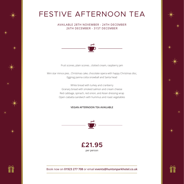

#### AVAILABLE 28TH NOVEMBER - 24TH DECEMBER 26TH DECEMBER - 31ST DECEMBER



Fruit scones, plain scones , clotted cream, raspberry jam

Mini star mince pies , Christmas cake, chocolate opera with happy Christmas disc, Eggnog panna cotta snowball and Santa head

> White bread with turkey and cranberry Granary bread with smoked salmon and cream cheese Red cabbage, spinach, red onion, and Asian dressing wrap Open ciabatta sandwich with hummus and roast vegetables

#### **VEGAN AFTERNOON TEA AVAILABLE**

**£21.95** per person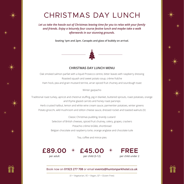# CHRISTMAS DAY LUNCH

*Let us take the hassle out of Christmas leaving time for you to relax with your family and friends. Enjoy a leisurely four course festive lunch and maybe take a walk afterwards in our stunning grounds.*

**Seating 1pm and 2pm. Canapés and glass of bubbly on arrival.**



### **CHRISTMAS DAY LUNCH MENU**

Oak smoked salmon parfait with a liquid Prosecco centre, bitter leaves with raspberry dressing Roasted squash and sweet potato soup, crème fraîche Ham hock, pea and grain mustard terrine, arran spiced fruit chutney and sourdough toast

Winter gazpacho

Traditional roast turkey, apricot and chestnut stuffing, pig in blanket, buttered sprouts, roast potatoes, orange and thyme glazed carrots and honey roast parsnips

Herb crusted halibut, lemon and white wine cream sauce, parmentier potatoes, winter greens Potato gnocchi, wild mushroom and stilton cheese sauce, dressed rocket and toasted walnuts (V)

> Classic Christmas pudding, brandy custard Selection of British cheeses, spiced fruit chutney, celery, grapes, crackers Pistachio crème brûlée, shortbread Belgian chocolate and raspberry torte, orange anglaise and chocolate tuile

> > Tea, coffee and mince pies

per adult

per child (3-12)



(V = Vegetarian, VE = Vegan, GF = Gluten Free)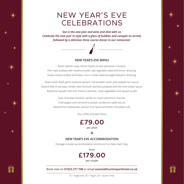## NEW YEAR'S EVE CELEBRATIONS

*See in the new year and wine and dine with us. Celebrate the new year in style with a glass of bubbles and canapés on arrival, followed by a delicious three course dinner in our restaurant.*

#### **NEW YEAR'S EVE MENU**

Roast celeriac soup, lemon thyme oil and parmesan croutons. Pan roast scallops with hazelnut butter, sea vegetable salad and lemon dressing. Goats cheese stuffed artichokes, micro rocket salad and aged balsamic dressing.

Roast sirloin beef, garlic buttered spinach, horseradish mash, pink peppercorn sauce. Seared fillet of sea bass, tender stem broccoli, duchess potatoes and red wine butter sauce. Butternut squash, brie and chestnut pithivier, roast vegetables and squash purée.

> Dark chocolate fondant, vanilla ice cream and kirsch cherries. Champagne and clementine posset, cardamom sable biscuit. Passionfruit cheesecake, passion fruit sauce and bitter chocolate tuile.

> > Tea, coffee and petit fours.

**£79.00** per adult

### **NEW YEAR'S EVE ACCOMMODATION**

Package includes accommodation and brunch on New Year's Day.

from **£179.00** per couple

Book now on **01923 277 708** or email **events@huntonparkhotel.co.uk**

(V = Vegetarian, VE = Vegan, GF = Gluten Free)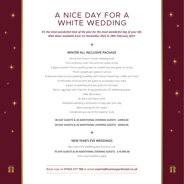# A NICE DAY FOR A WHITE WEDDING

*It's the most wonderful time of the year for the most wonderful day of your life. With dates available from 1st November 2022 to 28th February 2023.*

### **WINTER ALL INCLUSIVE PACKAGE**

Venue hire of your chosen wedding suite Civil Ceremony room hire and red carpet arrival A glass of winter Pimms sparkling wine or mulled wine per guest on arrival Three canapés per guest on arrival A delicious three course wedding breakfast with freshly brewed tea, coffee and mints A half-bottle of house wine per guest to accompany your meal A glass of sparkling wine per guest for the toast Bacon, egg baps with chips for all day guests plus 20 additional guests Table decoration DJ, disco and dance floor Dedicated wedding coordinator to help plan your day

Menu tasting for the couple Complimentary use of the Superior Suite

### **40 DAY GUESTS & 20 ADDITIONAL EVENING GUESTS - £4950.00 60 DAY GUESTS & 20 ADDITIONAL EVENING GUESTS - £6950.00**

### **NEW YEAR'S EVE WEDDINGS**

New Year's Eve Wedding with exclusive use.

**70 DAY GUESTS & 30 ADDITIONAL EVENING GUESTS - £19,995.00**

*Terms and conditions apply*